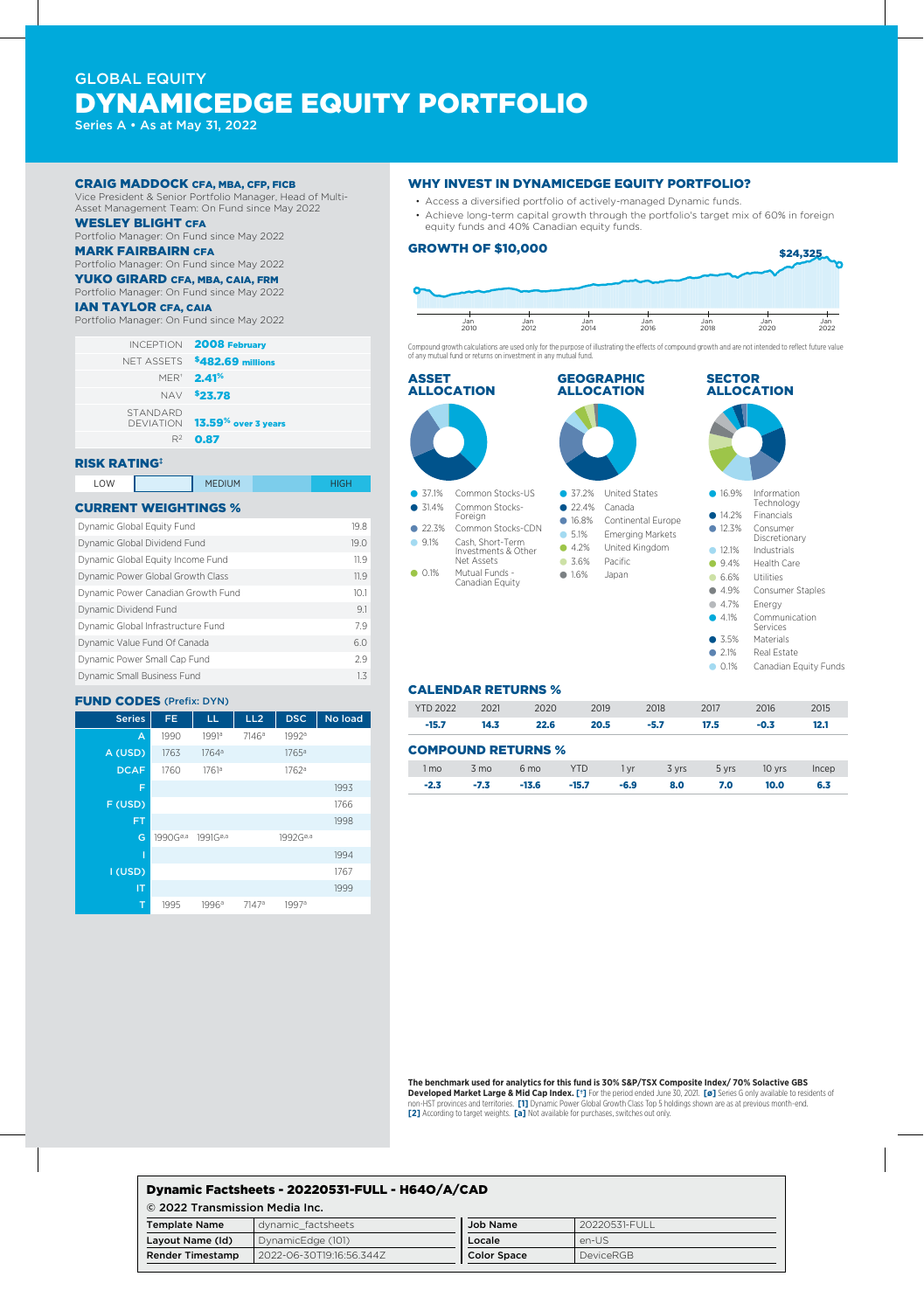# GLOBAL EQUITY DYNAMICEDGE EQUITY PORTFOLIO

Series A • As at May 31, 2022

#### CRAIG MADDOCK CFA, MBA, CFP, FICB

Vice President & Senior Portfolio Manager, Head of Multi-Asset Management Team: On Fund since May 2022

WESLEY BLIGHT CFA

## Portfolio Manager: On Fund since May 2022

## MARK FAIRBAIRN CFA

Portfolio Manager: On Fund since May 2022 YUKO GIRARD CFA, MBA, CAIA, FRM

## Portfolio Manager: On Fund since May 2022

IAN TAYLOR CFA, CAIA

Portfolio Manager: On Fund since May 2022

|                 | <b>INCEPTION 2008 February</b>                  |
|-----------------|-------------------------------------------------|
|                 | NET ASSETS \$482.69 millions                    |
|                 | <b>MER<sup>*</sup> 2.41%</b>                    |
|                 | NAV \$23.78                                     |
| <b>STANDARD</b> | DEVIATION <b>13.59<sup>%</sup> over 3 years</b> |
|                 | $R^2$ 0.87                                      |

### RISK RATING‡

| LOW | <b>MEDIUM</b> |  |
|-----|---------------|--|
|     |               |  |

#### CURRENT WEIGHTINGS %

| Dynamic Global Equity Fund         | 19.8 |
|------------------------------------|------|
| Dynamic Global Dividend Fund       | 19.0 |
| Dynamic Global Equity Income Fund  | 119  |
| Dynamic Power Global Growth Class  | 11.9 |
| Dynamic Power Canadian Growth Fund | 10.1 |
| Dynamic Dividend Fund              | 91   |
| Dynamic Global Infrastructure Fund | 79   |
| Dynamic Value Fund Of Canada       | 6.0  |
| Dynamic Power Small Cap Fund       | 29   |
| Dynamic Small Business Fund        | 13   |

#### FUND CODES (Prefix: DYN)

| <b>Series</b> | FE.                  | LL                   | LL <sub>2</sub>   | <b>DSC</b>           | No load |
|---------------|----------------------|----------------------|-------------------|----------------------|---------|
| A             | 1990                 | 1991 <sup>a</sup>    | 7146 <sup>a</sup> | 1992 <sup>a</sup>    |         |
| A (USD)       | 1763                 | 1764 <sup>a</sup>    |                   | 1765 <sup>a</sup>    |         |
| <b>DCAF</b>   | 1760                 | 1761a                |                   | 1762a                |         |
| F             |                      |                      |                   |                      | 1993    |
| F (USD)       |                      |                      |                   |                      | 1766    |
| <b>FT</b>     |                      |                      |                   |                      | 1998    |
| G             | 1990G <sup>ø,a</sup> | 1991G <sup>ø,a</sup> |                   | 1992G <sup>ø,a</sup> |         |
| T             |                      |                      |                   |                      | 1994    |
| I (USD)       |                      |                      |                   |                      | 1767    |
| IT            |                      |                      |                   |                      | 1999    |
| T             | 1995                 | 1996a                | 7147 <sup>a</sup> | 1997 <sup>a</sup>    |         |

#### WHY INVEST IN DYNAMICEDGE EQUITY PORTFOLIO?

- Access a diversified portfolio of actively-managed Dynamic funds.
- Achieve long-term capital growth through the portfolio's target mix of 60% in foreign equity funds and 40% Canadian equity funds.

#### GROWTH OF \$10,000 \$24,325 Jan 2010 Jan 2012 Jan 2014 Jan 2016 Jan 2018 Jan 2020 Jan 2022

Compound growth calculations are used only for the purpose of illustrating the effects of compound growth and are not intended to reflect future value of any mutual fund or returns on investment in any mutual fund.



#### CALENDAR RETURNS %

| <b>YTD 2022</b> | 2021   | 2020                      | 2019       |        | 2018   | 2017  | 2016   | 2015  |
|-----------------|--------|---------------------------|------------|--------|--------|-------|--------|-------|
| $-15.7$         | 14.3   | 22.6                      | 20.5       |        | $-5.7$ | 17.5  | $-0.3$ | 12.1  |
|                 |        | <b>COMPOUND RETURNS %</b> |            |        |        |       |        |       |
| 1 mo            | 3 mo   | 6 <sub>mo</sub>           | <b>YTD</b> | 1 vr   | 3 yrs  | 5 yrs | 10 yrs | Incep |
| $-2.3$          | $-7.3$ | $-13.6$                   | $-15.7$    | $-6.9$ | 8.0    | 7.0   | 10.0   | 6.3   |

#### **The benchmark used for analytics for this fund is 30% S&P/TSX Composite Index/ 70% Solactive GBS**

**Developed Market Large & Mid Cap Index. [†]** For the period ended June 30, 2021. **[ø]** Series G only available to residents of non-HST provinces and territories. 【1】 Dynamic Power Global Growth Class Top 5 holdings shown are as at previous month-end.<br>【2】 According to target weights.【a】 Not available for purchases, switches out only.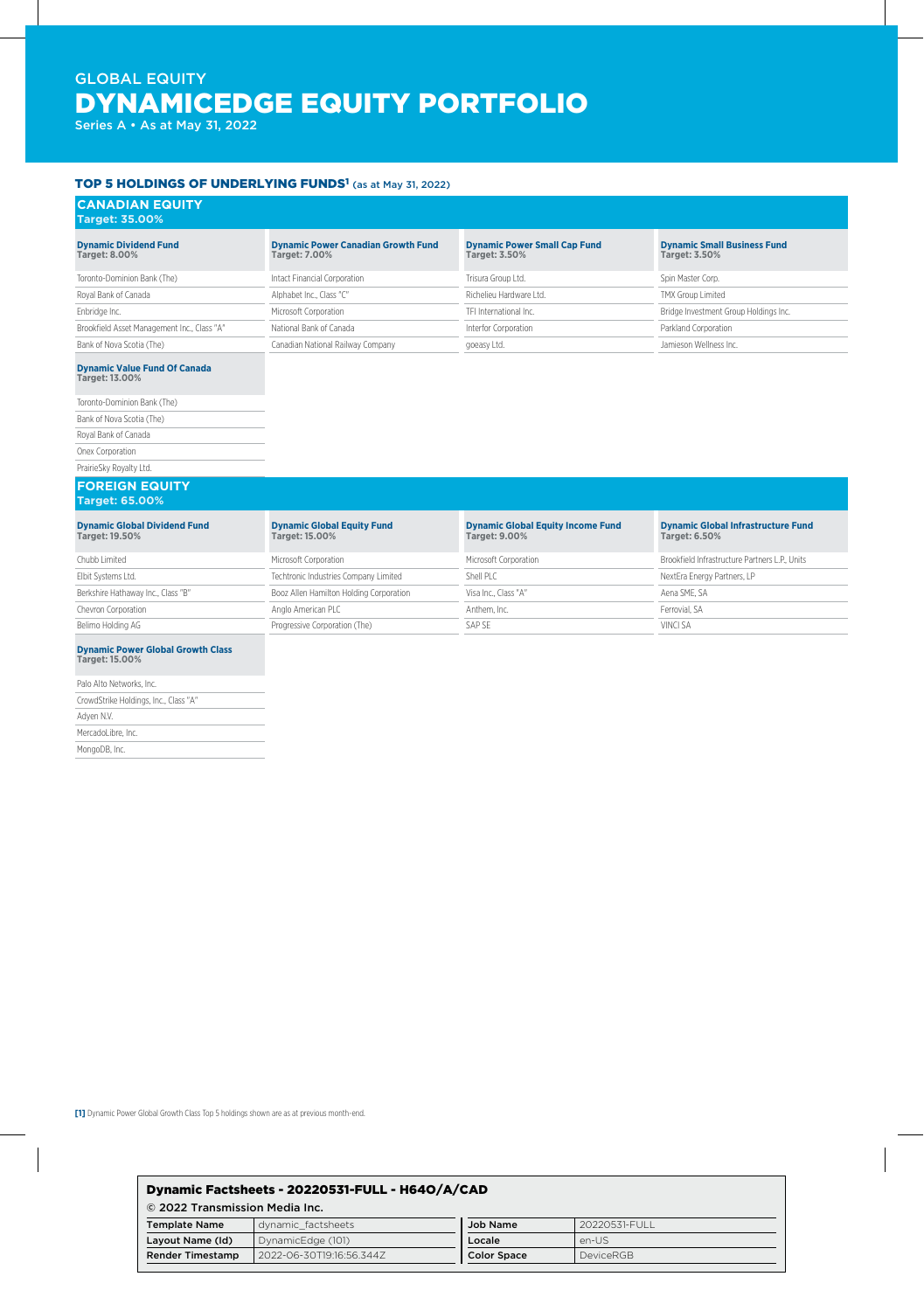# GLOBAL EQUITY DYNAMICEDGE EQUITY PORTFOLIO

Series A • As at May 31, 2022

Adyen N.V. MercadoLibre, Inc. MongoDB, Inc.

#### TOP 5 HOLDINGS OF UNDERLYING FUNDS<sup>1</sup> (as at May 31, 2022)

| <b>CANADIAN EQUITY</b><br><b>Target: 35.00%</b>                   |                                                                   |                                                                  |                                                                   |
|-------------------------------------------------------------------|-------------------------------------------------------------------|------------------------------------------------------------------|-------------------------------------------------------------------|
| <b>Dynamic Dividend Fund</b><br><b>Target: 8.00%</b>              | <b>Dynamic Power Canadian Growth Fund</b><br><b>Target: 7.00%</b> | <b>Dynamic Power Small Cap Fund</b><br><b>Target: 3.50%</b>      | <b>Dynamic Small Business Fund</b><br>Target: 3.50%               |
| Toronto-Dominion Bank (The)                                       | Intact Financial Corporation                                      | Trisura Group Ltd.                                               | Spin Master Corp.                                                 |
| Royal Bank of Canada                                              | Alphabet Inc., Class "C"                                          | Richelieu Hardware I td.                                         | TMX Group Limited                                                 |
| Enbridge Inc.                                                     | Microsoft Corporation                                             | TFI International Inc.                                           | Bridge Investment Group Holdings Inc.                             |
| Brookfield Asset Management Inc., Class "A"                       | National Bank of Canada                                           | Interfor Corporation                                             | Parkland Corporation                                              |
| Bank of Nova Scotia (The)                                         | Canadian National Railway Company                                 | goeasy Ltd.                                                      | Jamieson Wellness Inc.                                            |
| <b>Dynamic Value Fund Of Canada</b><br>Target: 13.00%             |                                                                   |                                                                  |                                                                   |
| Toronto-Dominion Bank (The)                                       |                                                                   |                                                                  |                                                                   |
| Bank of Nova Scotia (The)                                         |                                                                   |                                                                  |                                                                   |
| Royal Bank of Canada                                              |                                                                   |                                                                  |                                                                   |
| Onex Corporation                                                  |                                                                   |                                                                  |                                                                   |
| PrairieSky Royalty Ltd.                                           |                                                                   |                                                                  |                                                                   |
| <b>FOREIGN EQUITY</b><br><b>Target: 65.00%</b>                    |                                                                   |                                                                  |                                                                   |
| <b>Dynamic Global Dividend Fund</b><br>Target: 19.50%             | <b>Dynamic Global Equity Fund</b><br>Target: 15.00%               | <b>Dynamic Global Equity Income Fund</b><br><b>Target: 9.00%</b> | <b>Dynamic Global Infrastructure Fund</b><br><b>Target: 6.50%</b> |
| Chubb Limited                                                     | Microsoft Corporation                                             | Microsoft Corporation                                            | Brookfield Infrastructure Partners L.P., Units                    |
| Elbit Systems Ltd.                                                | Techtronic Industries Company Limited                             | Shell PLC                                                        | NextEra Energy Partners, LP                                       |
| Berkshire Hathaway Inc., Class "B"                                | Booz Allen Hamilton Holding Corporation                           | Visa Inc., Class "A"                                             | Aena SME, SA                                                      |
| Chevron Corporation                                               | Anglo American PLC                                                | Anthem. Inc.                                                     | Ferrovial, SA                                                     |
| Belimo Holding AG                                                 | Progressive Corporation (The)                                     | SAP SE                                                           | VINCI SA                                                          |
| <b>Dynamic Power Global Growth Class</b><br><b>Target: 15.00%</b> |                                                                   |                                                                  |                                                                   |
| Palo Alto Networks, Inc.                                          |                                                                   |                                                                  |                                                                   |
| CrowdStrike Holdings, Inc., Class "A"                             |                                                                   |                                                                  |                                                                   |